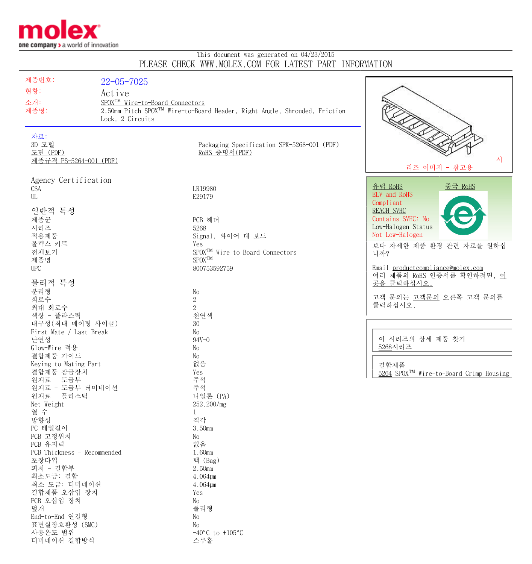

터미네이션 결합방식 스루홀

## This document was generated on 04/23/2015 PLEASE CHECK WWW.MOLEX.COM FOR LATEST PART INFORMATION

| $22 - 05 - 7025$<br>현황:<br>Active<br>SPOX <sup>TM</sup> Wire-to-Board Connectors<br>소개:<br>2.50mm Pitch SPOX <sup>™</sup> Wire-to-Board Header, Right Angle, Shrouded, Friction<br>제품명:<br>Lock, 2 Circuits<br>자료:<br>3D 모델<br>Packaging Specification SPK-5268-001 (PDF)<br>도면 (PDF)<br>RoHS 증명서(PDF)<br>시<br>제품규격 PS-5264-001 (PDF)<br>리즈 이미지 - 참고용<br>Agency Certification<br><u>유럽 RoHS</u><br><u>중국 RoHS</u><br><b>CSA</b><br>LR19980<br>ELV and RoHS<br>UL<br>E29179<br>Compliant<br>일반적 특성<br>REACH SVHC<br>Contains SVHC: No<br>제품군<br>PCB 헤더<br>Low-Halogen Status<br>시리즈<br>5268<br>Not Low-Halogen<br>적용제품<br>Signal, 와이어 대 보드<br>몰렉스 키트<br>Yes<br>보다 자세한 제품 환경 관련 자료를 원하십<br>전체보기<br>SPOX <sup>TM</sup> Wire-to-Board Connectors<br>니까?<br>${\rm SPOX}^{\rm TM}$<br>제품명<br>Email productcompliance@molex.com<br><b>UPC</b><br>800753592759<br>여러 제품의 RoHS 인증서를 확인하려면, 이<br>물리적 특성<br>곳을 클릭하십시오.<br>분리형<br>No<br>고객 문의는 고객문의 오른쪽 고객 문의를<br>$\sqrt{2}$<br>회로수<br>클릭하십시오.<br>$\overline{2}$<br>최대 회로수<br>색상 - 플라스틱<br>천연색<br>내구성 (최대 메이팅 사이클)<br>30<br>First Mate / Last Break<br>No<br>이 시리즈의 상세 제품 찾기<br>난연성<br>$94V - 0$<br>5268시리즈<br>Glow-Wire 적용<br>No<br>결합제품 가이드<br>No<br>없음<br>Keying to Mating Part<br>결합제품<br>결합제품 잠금장치<br>Yes<br>5264 SPOX <sup>TM</sup> Wire-to-Board Crimp Housing<br>주석<br>원재료 - 도금부<br>원재료 - 도금부 터미네이션<br>주석<br>원재료 - 플라스틱<br>나일론 (PA)<br>252.200/mg<br>Net Weight<br>열 수<br>$\mathbf{1}$<br>직각<br>방향성<br>PC 테일길이<br>3.50mm<br>PCB 고정위치<br>No<br>PCB 유지력<br>없음<br>PCB Thickness - Recommended<br>1.60mm |
|--------------------------------------------------------------------------------------------------------------------------------------------------------------------------------------------------------------------------------------------------------------------------------------------------------------------------------------------------------------------------------------------------------------------------------------------------------------------------------------------------------------------------------------------------------------------------------------------------------------------------------------------------------------------------------------------------------------------------------------------------------------------------------------------------------------------------------------------------------------------------------------------------------------------------------------------------------------------------------------------------------------------------------------------------------------------------------------------------------------------------------------------------------------------------------------------------------------------------------------------------------------------------------------------------------------------------------------------------------------------------------------------------------------------------------------------------------------------------------------------------------------------------------------------------|
|                                                                                                                                                                                                                                                                                                                                                                                                                                                                                                                                                                                                                                                                                                                                                                                                                                                                                                                                                                                                                                                                                                                                                                                                                                                                                                                                                                                                                                                                                                                                                  |
|                                                                                                                                                                                                                                                                                                                                                                                                                                                                                                                                                                                                                                                                                                                                                                                                                                                                                                                                                                                                                                                                                                                                                                                                                                                                                                                                                                                                                                                                                                                                                  |
|                                                                                                                                                                                                                                                                                                                                                                                                                                                                                                                                                                                                                                                                                                                                                                                                                                                                                                                                                                                                                                                                                                                                                                                                                                                                                                                                                                                                                                                                                                                                                  |
|                                                                                                                                                                                                                                                                                                                                                                                                                                                                                                                                                                                                                                                                                                                                                                                                                                                                                                                                                                                                                                                                                                                                                                                                                                                                                                                                                                                                                                                                                                                                                  |
|                                                                                                                                                                                                                                                                                                                                                                                                                                                                                                                                                                                                                                                                                                                                                                                                                                                                                                                                                                                                                                                                                                                                                                                                                                                                                                                                                                                                                                                                                                                                                  |
|                                                                                                                                                                                                                                                                                                                                                                                                                                                                                                                                                                                                                                                                                                                                                                                                                                                                                                                                                                                                                                                                                                                                                                                                                                                                                                                                                                                                                                                                                                                                                  |
|                                                                                                                                                                                                                                                                                                                                                                                                                                                                                                                                                                                                                                                                                                                                                                                                                                                                                                                                                                                                                                                                                                                                                                                                                                                                                                                                                                                                                                                                                                                                                  |
|                                                                                                                                                                                                                                                                                                                                                                                                                                                                                                                                                                                                                                                                                                                                                                                                                                                                                                                                                                                                                                                                                                                                                                                                                                                                                                                                                                                                                                                                                                                                                  |
|                                                                                                                                                                                                                                                                                                                                                                                                                                                                                                                                                                                                                                                                                                                                                                                                                                                                                                                                                                                                                                                                                                                                                                                                                                                                                                                                                                                                                                                                                                                                                  |
|                                                                                                                                                                                                                                                                                                                                                                                                                                                                                                                                                                                                                                                                                                                                                                                                                                                                                                                                                                                                                                                                                                                                                                                                                                                                                                                                                                                                                                                                                                                                                  |
|                                                                                                                                                                                                                                                                                                                                                                                                                                                                                                                                                                                                                                                                                                                                                                                                                                                                                                                                                                                                                                                                                                                                                                                                                                                                                                                                                                                                                                                                                                                                                  |
|                                                                                                                                                                                                                                                                                                                                                                                                                                                                                                                                                                                                                                                                                                                                                                                                                                                                                                                                                                                                                                                                                                                                                                                                                                                                                                                                                                                                                                                                                                                                                  |
|                                                                                                                                                                                                                                                                                                                                                                                                                                                                                                                                                                                                                                                                                                                                                                                                                                                                                                                                                                                                                                                                                                                                                                                                                                                                                                                                                                                                                                                                                                                                                  |
|                                                                                                                                                                                                                                                                                                                                                                                                                                                                                                                                                                                                                                                                                                                                                                                                                                                                                                                                                                                                                                                                                                                                                                                                                                                                                                                                                                                                                                                                                                                                                  |
|                                                                                                                                                                                                                                                                                                                                                                                                                                                                                                                                                                                                                                                                                                                                                                                                                                                                                                                                                                                                                                                                                                                                                                                                                                                                                                                                                                                                                                                                                                                                                  |
|                                                                                                                                                                                                                                                                                                                                                                                                                                                                                                                                                                                                                                                                                                                                                                                                                                                                                                                                                                                                                                                                                                                                                                                                                                                                                                                                                                                                                                                                                                                                                  |
|                                                                                                                                                                                                                                                                                                                                                                                                                                                                                                                                                                                                                                                                                                                                                                                                                                                                                                                                                                                                                                                                                                                                                                                                                                                                                                                                                                                                                                                                                                                                                  |
|                                                                                                                                                                                                                                                                                                                                                                                                                                                                                                                                                                                                                                                                                                                                                                                                                                                                                                                                                                                                                                                                                                                                                                                                                                                                                                                                                                                                                                                                                                                                                  |
|                                                                                                                                                                                                                                                                                                                                                                                                                                                                                                                                                                                                                                                                                                                                                                                                                                                                                                                                                                                                                                                                                                                                                                                                                                                                                                                                                                                                                                                                                                                                                  |
|                                                                                                                                                                                                                                                                                                                                                                                                                                                                                                                                                                                                                                                                                                                                                                                                                                                                                                                                                                                                                                                                                                                                                                                                                                                                                                                                                                                                                                                                                                                                                  |
|                                                                                                                                                                                                                                                                                                                                                                                                                                                                                                                                                                                                                                                                                                                                                                                                                                                                                                                                                                                                                                                                                                                                                                                                                                                                                                                                                                                                                                                                                                                                                  |
|                                                                                                                                                                                                                                                                                                                                                                                                                                                                                                                                                                                                                                                                                                                                                                                                                                                                                                                                                                                                                                                                                                                                                                                                                                                                                                                                                                                                                                                                                                                                                  |
|                                                                                                                                                                                                                                                                                                                                                                                                                                                                                                                                                                                                                                                                                                                                                                                                                                                                                                                                                                                                                                                                                                                                                                                                                                                                                                                                                                                                                                                                                                                                                  |
|                                                                                                                                                                                                                                                                                                                                                                                                                                                                                                                                                                                                                                                                                                                                                                                                                                                                                                                                                                                                                                                                                                                                                                                                                                                                                                                                                                                                                                                                                                                                                  |
|                                                                                                                                                                                                                                                                                                                                                                                                                                                                                                                                                                                                                                                                                                                                                                                                                                                                                                                                                                                                                                                                                                                                                                                                                                                                                                                                                                                                                                                                                                                                                  |
|                                                                                                                                                                                                                                                                                                                                                                                                                                                                                                                                                                                                                                                                                                                                                                                                                                                                                                                                                                                                                                                                                                                                                                                                                                                                                                                                                                                                                                                                                                                                                  |
|                                                                                                                                                                                                                                                                                                                                                                                                                                                                                                                                                                                                                                                                                                                                                                                                                                                                                                                                                                                                                                                                                                                                                                                                                                                                                                                                                                                                                                                                                                                                                  |
|                                                                                                                                                                                                                                                                                                                                                                                                                                                                                                                                                                                                                                                                                                                                                                                                                                                                                                                                                                                                                                                                                                                                                                                                                                                                                                                                                                                                                                                                                                                                                  |
|                                                                                                                                                                                                                                                                                                                                                                                                                                                                                                                                                                                                                                                                                                                                                                                                                                                                                                                                                                                                                                                                                                                                                                                                                                                                                                                                                                                                                                                                                                                                                  |
|                                                                                                                                                                                                                                                                                                                                                                                                                                                                                                                                                                                                                                                                                                                                                                                                                                                                                                                                                                                                                                                                                                                                                                                                                                                                                                                                                                                                                                                                                                                                                  |
|                                                                                                                                                                                                                                                                                                                                                                                                                                                                                                                                                                                                                                                                                                                                                                                                                                                                                                                                                                                                                                                                                                                                                                                                                                                                                                                                                                                                                                                                                                                                                  |
|                                                                                                                                                                                                                                                                                                                                                                                                                                                                                                                                                                                                                                                                                                                                                                                                                                                                                                                                                                                                                                                                                                                                                                                                                                                                                                                                                                                                                                                                                                                                                  |
|                                                                                                                                                                                                                                                                                                                                                                                                                                                                                                                                                                                                                                                                                                                                                                                                                                                                                                                                                                                                                                                                                                                                                                                                                                                                                                                                                                                                                                                                                                                                                  |
|                                                                                                                                                                                                                                                                                                                                                                                                                                                                                                                                                                                                                                                                                                                                                                                                                                                                                                                                                                                                                                                                                                                                                                                                                                                                                                                                                                                                                                                                                                                                                  |
|                                                                                                                                                                                                                                                                                                                                                                                                                                                                                                                                                                                                                                                                                                                                                                                                                                                                                                                                                                                                                                                                                                                                                                                                                                                                                                                                                                                                                                                                                                                                                  |
|                                                                                                                                                                                                                                                                                                                                                                                                                                                                                                                                                                                                                                                                                                                                                                                                                                                                                                                                                                                                                                                                                                                                                                                                                                                                                                                                                                                                                                                                                                                                                  |
|                                                                                                                                                                                                                                                                                                                                                                                                                                                                                                                                                                                                                                                                                                                                                                                                                                                                                                                                                                                                                                                                                                                                                                                                                                                                                                                                                                                                                                                                                                                                                  |
|                                                                                                                                                                                                                                                                                                                                                                                                                                                                                                                                                                                                                                                                                                                                                                                                                                                                                                                                                                                                                                                                                                                                                                                                                                                                                                                                                                                                                                                                                                                                                  |
|                                                                                                                                                                                                                                                                                                                                                                                                                                                                                                                                                                                                                                                                                                                                                                                                                                                                                                                                                                                                                                                                                                                                                                                                                                                                                                                                                                                                                                                                                                                                                  |
|                                                                                                                                                                                                                                                                                                                                                                                                                                                                                                                                                                                                                                                                                                                                                                                                                                                                                                                                                                                                                                                                                                                                                                                                                                                                                                                                                                                                                                                                                                                                                  |
|                                                                                                                                                                                                                                                                                                                                                                                                                                                                                                                                                                                                                                                                                                                                                                                                                                                                                                                                                                                                                                                                                                                                                                                                                                                                                                                                                                                                                                                                                                                                                  |
|                                                                                                                                                                                                                                                                                                                                                                                                                                                                                                                                                                                                                                                                                                                                                                                                                                                                                                                                                                                                                                                                                                                                                                                                                                                                                                                                                                                                                                                                                                                                                  |
| 포장타입<br>백 (Bag)                                                                                                                                                                                                                                                                                                                                                                                                                                                                                                                                                                                                                                                                                                                                                                                                                                                                                                                                                                                                                                                                                                                                                                                                                                                                                                                                                                                                                                                                                                                                  |
| 피치 - 결합부<br>2.50mm                                                                                                                                                                                                                                                                                                                                                                                                                                                                                                                                                                                                                                                                                                                                                                                                                                                                                                                                                                                                                                                                                                                                                                                                                                                                                                                                                                                                                                                                                                                               |
| 최소도금: 결합<br>4.064µm                                                                                                                                                                                                                                                                                                                                                                                                                                                                                                                                                                                                                                                                                                                                                                                                                                                                                                                                                                                                                                                                                                                                                                                                                                                                                                                                                                                                                                                                                                                              |
| 최소 도금: 터미네이션<br>4.064µm                                                                                                                                                                                                                                                                                                                                                                                                                                                                                                                                                                                                                                                                                                                                                                                                                                                                                                                                                                                                                                                                                                                                                                                                                                                                                                                                                                                                                                                                                                                          |
| 결합제품 오삽입 장치<br>Yes                                                                                                                                                                                                                                                                                                                                                                                                                                                                                                                                                                                                                                                                                                                                                                                                                                                                                                                                                                                                                                                                                                                                                                                                                                                                                                                                                                                                                                                                                                                               |
| PCB 오삽입 장치<br>No                                                                                                                                                                                                                                                                                                                                                                                                                                                                                                                                                                                                                                                                                                                                                                                                                                                                                                                                                                                                                                                                                                                                                                                                                                                                                                                                                                                                                                                                                                                                 |
| 덮개<br>풀리형                                                                                                                                                                                                                                                                                                                                                                                                                                                                                                                                                                                                                                                                                                                                                                                                                                                                                                                                                                                                                                                                                                                                                                                                                                                                                                                                                                                                                                                                                                                                        |
|                                                                                                                                                                                                                                                                                                                                                                                                                                                                                                                                                                                                                                                                                                                                                                                                                                                                                                                                                                                                                                                                                                                                                                                                                                                                                                                                                                                                                                                                                                                                                  |
| End-to-End 연결형<br>No<br>표면실장호환성 (SMC)<br>No                                                                                                                                                                                                                                                                                                                                                                                                                                                                                                                                                                                                                                                                                                                                                                                                                                                                                                                                                                                                                                                                                                                                                                                                                                                                                                                                                                                                                                                                                                      |